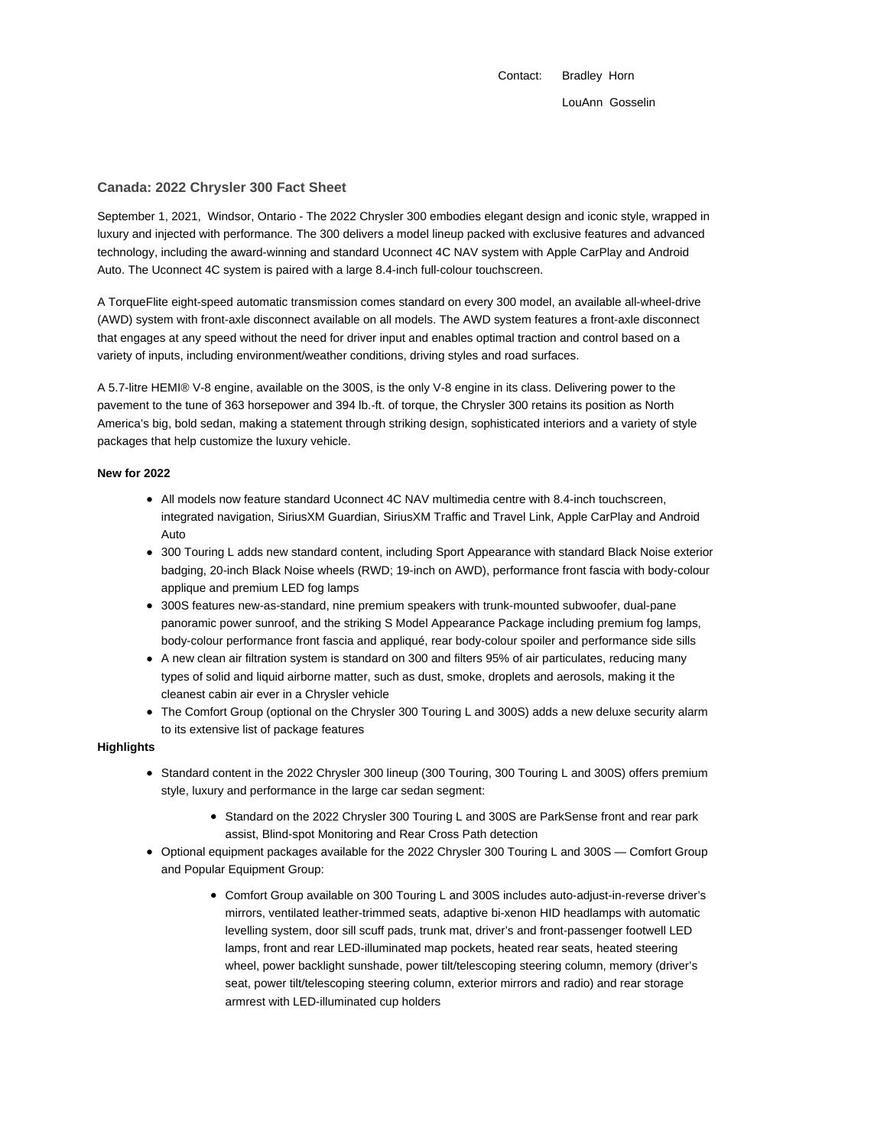Contact: Bradley Horn LouAnn Gosselin

#### **Canada: 2022 Chrysler 300 Fact Sheet**

September 1, 2021, Windsor, Ontario - The 2022 Chrysler 300 embodies elegant design and iconic style, wrapped in luxury and injected with performance. The 300 delivers a model lineup packed with exclusive features and advanced technology, including the award-winning and standard Uconnect 4C NAV system with Apple CarPlay and Android Auto. The Uconnect 4C system is paired with a large 8.4-inch full-colour touchscreen.

A TorqueFlite eight-speed automatic transmission comes standard on every 300 model, an available all-wheel-drive (AWD) system with front-axle disconnect available on all models. The AWD system features a front-axle disconnect that engages at any speed without the need for driver input and enables optimal traction and control based on a variety of inputs, including environment/weather conditions, driving styles and road surfaces.

A 5.7-litre HEMI® V-8 engine, available on the 300S, is the only V-8 engine in its class. Delivering power to the pavement to the tune of 363 horsepower and 394 lb.-ft. of torque, the Chrysler 300 retains its position as North America's big, bold sedan, making a statement through striking design, sophisticated interiors and a variety of style packages that help customize the luxury vehicle.

#### **New for 2022**

- All models now feature standard Uconnect 4C NAV multimedia centre with 8.4-inch touchscreen, integrated navigation, SiriusXM Guardian, SiriusXM Traffic and Travel Link, Apple CarPlay and Android Auto
- 300 Touring L adds new standard content, including Sport Appearance with standard Black Noise exterior badging, 20-inch Black Noise wheels (RWD; 19-inch on AWD), performance front fascia with body-colour applique and premium LED fog lamps
- 300S features new-as-standard, nine premium speakers with trunk-mounted subwoofer, dual-pane panoramic power sunroof, and the striking S Model Appearance Package including premium fog lamps, body-colour performance front fascia and appliqué, rear body-colour spoiler and performance side sills
- A new clean air filtration system is standard on 300 and filters 95% of air particulates, reducing many types of solid and liquid airborne matter, such as dust, smoke, droplets and aerosols, making it the cleanest cabin air ever in a Chrysler vehicle
- The Comfort Group (optional on the Chrysler 300 Touring L and 300S) adds a new deluxe security alarm to its extensive list of package features

# **Highlights**

- Standard content in the 2022 Chrysler 300 lineup (300 Touring, 300 Touring L and 300S) offers premium style, luxury and performance in the large car sedan segment:
	- Standard on the 2022 Chrysler 300 Touring L and 300S are ParkSense front and rear park assist, Blind-spot Monitoring and Rear Cross Path detection
- Optional equipment packages available for the 2022 Chrysler 300 Touring L and 300S Comfort Group and Popular Equipment Group:
	- Comfort Group available on 300 Touring L and 300S includes auto-adjust-in-reverse driver's mirrors, ventilated leather-trimmed seats, adaptive bi-xenon HID headlamps with automatic levelling system, door sill scuff pads, trunk mat, driver's and front-passenger footwell LED lamps, front and rear LED-illuminated map pockets, heated rear seats, heated steering wheel, power backlight sunshade, power tilt/telescoping steering column, memory (driver's seat, power tilt/telescoping steering column, exterior mirrors and radio) and rear storage armrest with LED-illuminated cup holders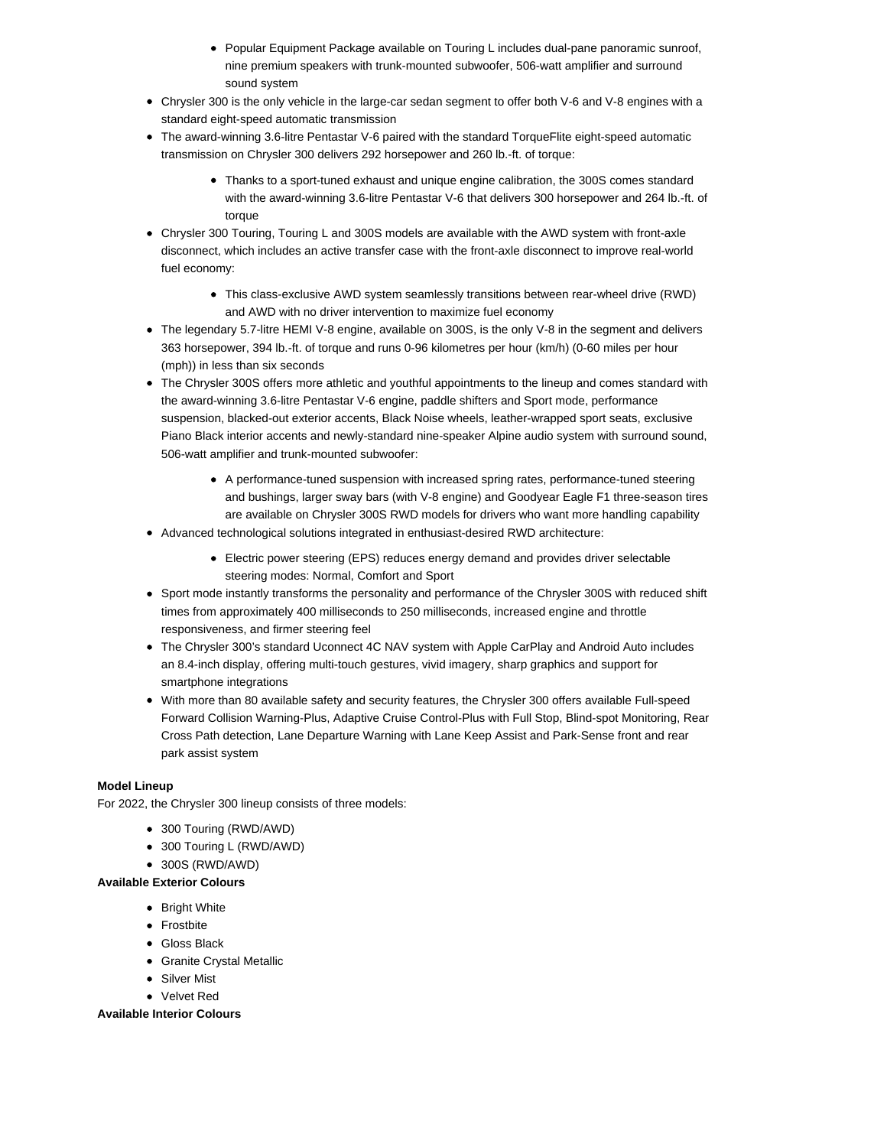- Popular Equipment Package available on Touring L includes dual-pane panoramic sunroof, nine premium speakers with trunk-mounted subwoofer, 506-watt amplifier and surround sound system
- Chrysler 300 is the only vehicle in the large-car sedan segment to offer both V-6 and V-8 engines with a standard eight-speed automatic transmission
- The award-winning 3.6-litre Pentastar V-6 paired with the standard TorqueFlite eight-speed automatic transmission on Chrysler 300 delivers 292 horsepower and 260 lb.-ft. of torque:
	- Thanks to a sport-tuned exhaust and unique engine calibration, the 300S comes standard with the award-winning 3.6-litre Pentastar V-6 that delivers 300 horsepower and 264 lb.-ft. of torque
- Chrysler 300 Touring, Touring L and 300S models are available with the AWD system with front-axle disconnect, which includes an active transfer case with the front-axle disconnect to improve real-world fuel economy:
	- This class-exclusive AWD system seamlessly transitions between rear-wheel drive (RWD) and AWD with no driver intervention to maximize fuel economy
- The legendary 5.7-litre HEMI V-8 engine, available on 300S, is the only V-8 in the segment and delivers 363 horsepower, 394 lb.-ft. of torque and runs 0-96 kilometres per hour (km/h) (0-60 miles per hour (mph)) in less than six seconds
- The Chrysler 300S offers more athletic and youthful appointments to the lineup and comes standard with the award-winning 3.6-litre Pentastar V-6 engine, paddle shifters and Sport mode, performance suspension, blacked-out exterior accents, Black Noise wheels, leather-wrapped sport seats, exclusive Piano Black interior accents and newly-standard nine-speaker Alpine audio system with surround sound, 506-watt amplifier and trunk-mounted subwoofer:
	- A performance-tuned suspension with increased spring rates, performance-tuned steering and bushings, larger sway bars (with V-8 engine) and Goodyear Eagle F1 three-season tires are available on Chrysler 300S RWD models for drivers who want more handling capability
- Advanced technological solutions integrated in enthusiast-desired RWD architecture:
	- Electric power steering (EPS) reduces energy demand and provides driver selectable steering modes: Normal, Comfort and Sport
- Sport mode instantly transforms the personality and performance of the Chrysler 300S with reduced shift times from approximately 400 milliseconds to 250 milliseconds, increased engine and throttle responsiveness, and firmer steering feel
- The Chrysler 300's standard Uconnect 4C NAV system with Apple CarPlay and Android Auto includes an 8.4-inch display, offering multi-touch gestures, vivid imagery, sharp graphics and support for smartphone integrations
- With more than 80 available safety and security features, the Chrysler 300 offers available Full-speed Forward Collision Warning-Plus, Adaptive Cruise Control-Plus with Full Stop, Blind-spot Monitoring, Rear Cross Path detection, Lane Departure Warning with Lane Keep Assist and Park-Sense front and rear park assist system

## **Model Lineup**

For 2022, the Chrysler 300 lineup consists of three models:

- 300 Touring (RWD/AWD)
- 300 Touring L (RWD/AWD)
- 300S (RWD/AWD)

## **Available Exterior Colours**

- Bright White
- Frostbite
- Gloss Black
- Granite Crystal Metallic
- Silver Mist
- Velvet Red

**Available Interior Colours**